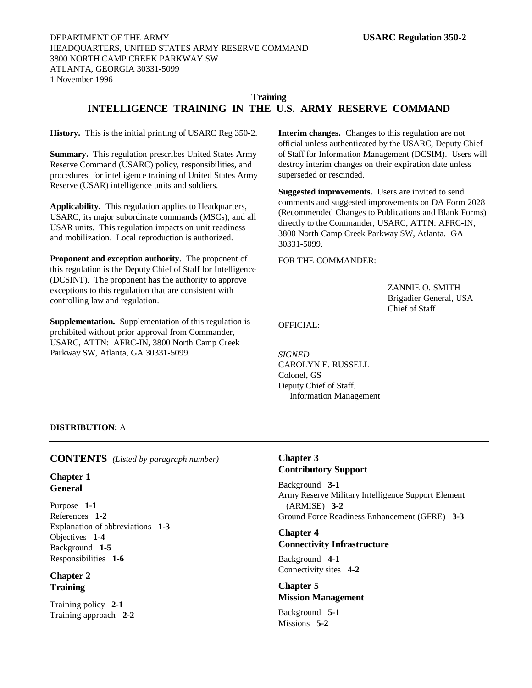# **Training INTELLIGENCE TRAINING IN THE U.S. ARMY RESERVE COMMAND**

**History.** This is the initial printing of USARC Reg 350-2.

**Summary.** This regulation prescribes United States Army Reserve Command (USARC) policy, responsibilities, and procedures for intelligence training of United States Army Reserve (USAR) intelligence units and soldiers.

**Applicability.** This regulation applies to Headquarters, USARC, its major subordinate commands (MSCs), and all USAR units. This regulation impacts on unit readiness and mobilization. Local reproduction is authorized.

**Proponent and exception authority.** The proponent of this regulation is the Deputy Chief of Staff for Intelligence (DCSINT). The proponent has the authority to approve exceptions to this regulation that are consistent with controlling law and regulation.

**Supplementation.** Supplementation of this regulation is prohibited without prior approval from Commander, USARC, ATTN: AFRC-IN, 3800 North Camp Creek Parkway SW, Atlanta, GA 30331-5099.

**Interim changes.** Changes to this regulation are not official unless authenticated by the USARC, Deputy Chief of Staff for Information Management (DCSIM). Users will destroy interim changes on their expiration date unless superseded or rescinded.

**Suggested improvements.** Users are invited to send comments and suggested improvements on DA Form 2028 (Recommended Changes to Publications and Blank Forms) directly to the Commander, USARC, ATTN: AFRC-IN, 3800 North Camp Creek Parkway SW, Atlanta. GA 30331-5099.

FOR THE COMMANDER:

ZANNIE O. SMITH Brigadier General, USA Chief of Staff

OFFICIAL:

*SIGNED* CAROLYN E. RUSSELL Colonel, GS Deputy Chief of Staff. Information Management

### **DISTRIBUTION:** A

### **CONTENTS** *(Listed by paragraph number)*

### **Chapter 1 General**

Purpose **1-1** References **1-2** Explanation of abbreviations **1-3** Objectives **1-4** Background **1-5** Responsibilities **1-6**

## **Chapter 2 Training**

Training policy **2-1** Training approach **2-2**

# **Chapter 3 Contributory Support**

Background **3-1** Army Reserve Military Intelligence Support Element (ARMISE) **3-2** Ground Force Readiness Enhancement (GFRE) **3-3**

## **Chapter 4 Connectivity Infrastructure**

Background **4-1** Connectivity sites **4-2**

## **Chapter 5 Mission Management**

Background **5-1** Missions **5-2**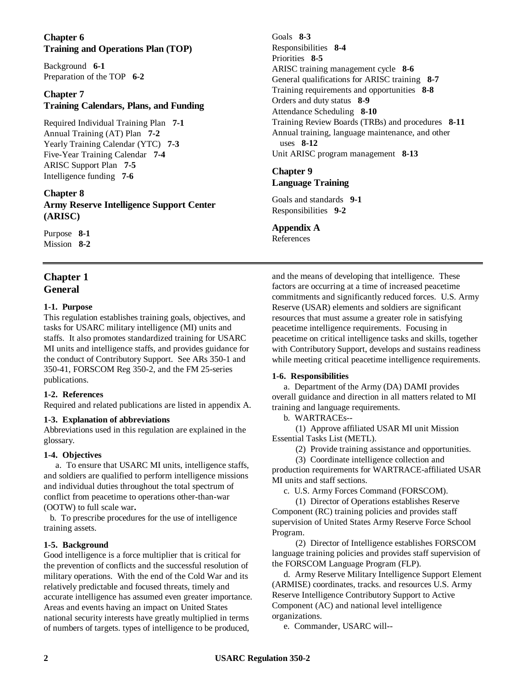## **Chapter 6 Training and Operations Plan (TOP)**

Background **6-1** Preparation of the TOP **6-2**

## **Chapter 7 Training Calendars, Plans, and Funding**

Required Individual Training Plan **7-1** Annual Training (AT) Plan **7-2** Yearly Training Calendar (YTC) **7-3** Five-Year Training Calendar **7-4** ARISC Support Plan **7-5** Intelligence funding **7-6**

**Chapter 8 Army Reserve Intelligence Support Center (ARISC)**

Purpose **8-1** Mission **8-2**

# **Chapter 1 General**

## **1-1. Purpose**

This regulation establishes training goals, objectives, and tasks for USARC military intelligence (MI) units and staffs. It also promotes standardized training for USARC MI units and intelligence staffs, and provides guidance for the conduct of Contributory Support. See ARs 350-1 and 350-41, FORSCOM Reg 350-2, and the FM 25-series publications.

## **1-2. References**

Required and related publications are listed in appendix A.

## **1-3. Explanation of abbreviations**

Abbreviations used in this regulation are explained in the glossary.

### **1-4. Objectives**

a. To ensure that USARC MI units, intelligence staffs, and soldiers are qualified to perform intelligence missions and individual duties throughout the total spectrum of conflict from peacetime to operations other-than-war (OOTW) to full scale war**.**

b. To prescribe procedures for the use of intelligence training assets.

## **1-5. Background**

Good intelligence is a force multiplier that is critical for the prevention of conflicts and the successful resolution of military operations. With the end of the Cold War and its relatively predictable and focused threats, timely and accurate intelligence has assumed even greater importance. Areas and events having an impact on United States national security interests have greatly multiplied in terms of numbers of targets. types of intelligence to be produced,

Goals **8-3** Responsibilities **8-4** Priorities **8-5** ARISC training management cycle **8-6** General qualifications for ARISC training **8-7** Training requirements and opportunities **8-8** Orders and duty status **8-9** Attendance Scheduling **8-10** Training Review Boards (TRBs) and procedures **8-11** Annual training, language maintenance, and other uses **8-12** Unit ARISC program management **8-13**

## **Chapter 9 Language Training**

Goals and standards **9-1** Responsibilities **9-2**

## **Appendix A**

References

and the means of developing that intelligence. These factors are occurring at a time of increased peacetime commitments and significantly reduced forces. U.S. Army Reserve (USAR) elements and soldiers are significant resources that must assume a greater role in satisfying peacetime intelligence requirements. Focusing in peacetime on critical intelligence tasks and skills, together with Contributory Support, develops and sustains readiness while meeting critical peacetime intelligence requirements.

## **1-6. Responsibilities**

a. Department of the Army (DA) DAMI provides overall guidance and direction in all matters related to MI training and language requirements.

b. WARTRACEs--

(1) Approve affiliated USAR MI unit Mission Essential Tasks List (METL).

(2) Provide training assistance and opportunities.

(3) Coordinate intelligence collection and production requirements for WARTRACE-affiliated USAR MI units and staff sections.

c. U.S. Army Forces Command (FORSCOM).

(1) Director of Operations establishes Reserve Component (RC) training policies and provides staff supervision of United States Army Reserve Force School Program.

(2) Director of Intelligence establishes FORSCOM language training policies and provides staff supervision of the FORSCOM Language Program (FLP).

d. Army Reserve Military Intelligence Support Element (ARMISE) coordinates, tracks. and resources U.S. Army Reserve Intelligence Contributory Support to Active Component (AC) and national level intelligence organizations.

e. Commander, USARC will--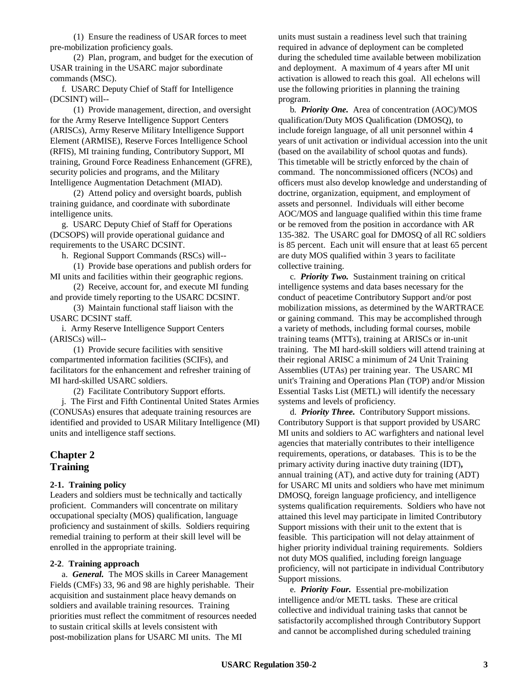(1) Ensure the readiness of USAR forces to meet pre-mobilization proficiency goals.

(2) Plan, program, and budget for the execution of USAR training in the USARC major subordinate commands (MSC).

f. USARC Deputy Chief of Staff for Intelligence (DCSINT) will--

(1) Provide management, direction, and oversight for the Army Reserve Intelligence Support Centers (ARISCs), Army Reserve Military Intelligence Support Element (ARMISE), Reserve Forces Intelligence School (RFIS), MI training funding, Contributory Support, MI training, Ground Force Readiness Enhancement (GFRE), security policies and programs, and the Military Intelligence Augmentation Detachment (MIAD).

(2) Attend policy and oversight boards, publish training guidance, and coordinate with subordinate intelligence units.

g. USARC Deputy Chief of Staff for Operations (DCSOPS) will provide operational guidance and requirements to the USARC DCSINT.

h. Regional Support Commands (RSCs) will--

(1) Provide base operations and publish orders for MI units and facilities within their geographic regions.

(2) Receive, account for, and execute MI funding and provide timely reporting to the USARC DCSINT.

(3) Maintain functional staff liaison with the USARC DCSINT staff.

i. Army Reserve Intelligence Support Centers (ARISCs) will--

(1) Provide secure facilities with sensitive compartmented information facilities (SCIFs), and facilitators for the enhancement and refresher training of MI hard-skilled USARC soldiers.

(2) Facilitate Contributory Support efforts.

j. The First and Fifth Continental United States Armies (CONUSAs) ensures that adequate training resources are identified and provided to USAR Military Intelligence (MI) units and intelligence staff sections.

## **Chapter 2 Training**

#### **2-1. Training policy**

Leaders and soldiers must be technically and tactically proficient. Commanders will concentrate on military occupational specialty (MOS) qualification, language proficiency and sustainment of skills. Soldiers requiring remedial training to perform at their skill level will be enrolled in the appropriate training.

#### **2-2**. **Training approach**

a. *General.* The MOS skills in Career Management Fields (CMFs) 33, 96 and 98 are highly perishable. Their acquisition and sustainment place heavy demands on soldiers and available training resources. Training priorities must reflect the commitment of resources needed to sustain critical skills at levels consistent with post-mobilization plans for USARC MI units. The MI

units must sustain a readiness level such that training required in advance of deployment can be completed during the scheduled time available between mobilization and deployment. A maximum of 4 years after MI unit activation is allowed to reach this goal. All echelons will use the following priorities in planning the training program.

b. *Priority One.* Area of concentration (AOC)/MOS qualification/Duty MOS Qualification (DMOSQ), to include foreign language, of all unit personnel within 4 years of unit activation or individual accession into the unit (based on the availability of school quotas and funds). This timetable will be strictly enforced by the chain of command. The noncommissioned officers (NCOs) and officers must also develop knowledge and understanding of doctrine, organization, equipment, and employment of assets and personnel. Individuals will either become AOC/MOS and language qualified within this time frame or be removed from the position in accordance with AR 135-382. The USARC goal for DMOSQ of all RC soldiers is 85 percent. Each unit will ensure that at least 65 percent are duty MOS qualified within 3 years to facilitate collective training.

c. *Priority Two.* Sustainment training on critical intelligence systems and data bases necessary for the conduct of peacetime Contributory Support and/or post mobilization missions, as determined by the WARTRACE or gaining command. This may be accomplished through a variety of methods, including formal courses, mobile training teams (MTTs), training at ARISCs or in-unit training. The MI hard-skill soldiers will attend training at their regional ARISC a minimum of 24 Unit Training Assemblies (UTAs) per training year. The USARC MI unit's Training and Operations Plan (TOP) and/or Mission Essential Tasks List (METL) will identify the necessary systems and levels of proficiency.

d. *Priority Three.* Contributory Support missions. Contributory Support is that support provided by USARC MI units and soldiers to AC warfighters and national level agencies that materially contributes to their intelligence requirements, operations, or databases. This is to be the primary activity during inactive duty training (IDT)**,** annual training (AT), and active duty for training (ADT) for USARC MI units and soldiers who have met minimum DMOSQ, foreign language proficiency, and intelligence systems qualification requirements. Soldiers who have not attained this level may participate in limited Contributory Support missions with their unit to the extent that is feasible. This participation will not delay attainment of higher priority individual training requirements. Soldiers not duty MOS qualified, including foreign language proficiency, will not participate in individual Contributory Support missions.

e. *Priority Four.* Essential pre-mobilization intelligence and/or METL tasks. These are critical collective and individual training tasks that cannot be satisfactorily accomplished through Contributory Support and cannot be accomplished during scheduled training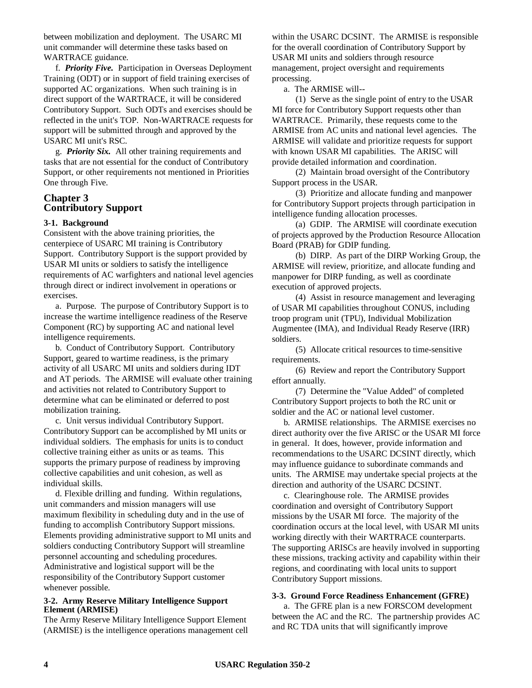between mobilization and deployment. The USARC MI unit commander will determine these tasks based on WARTRACE guidance.

f. *Priority Five.* Participation in Overseas Deployment Training (ODT) or in support of field training exercises of supported AC organizations. When such training is in direct support of the WARTRACE, it will be considered Contributory Support. Such ODTs and exercises should be reflected in the unit's TOP. Non-WARTRACE requests for support will be submitted through and approved by the USARC MI unit's RSC.

g. *Priority Six.* All other training requirements and tasks that are not essential for the conduct of Contributory Support, or other requirements not mentioned in Priorities One through Five.

### **Chapter 3 Contributory Support**

### **3-1. Background**

Consistent with the above training priorities, the centerpiece of USARC MI training is Contributory Support. Contributory Support is the support provided by USAR MI units or soldiers to satisfy the intelligence requirements of AC warfighters and national level agencies through direct or indirect involvement in operations or exercises.

a. Purpose. The purpose of Contributory Support is to increase the wartime intelligence readiness of the Reserve Component (RC) by supporting AC and national level intelligence requirements.

b. Conduct of Contributory Support. Contributory Support, geared to wartime readiness, is the primary activity of all USARC MI units and soldiers during IDT and AT periods. The ARMISE will evaluate other training and activities not related to Contributory Support to determine what can be eliminated or deferred to post mobilization training.

c. Unit versus individual Contributory Support. Contributory Support can be accomplished by MI units or individual soldiers. The emphasis for units is to conduct collective training either as units or as teams. This supports the primary purpose of readiness by improving collective capabilities and unit cohesion, as well as individual skills.

d. Flexible drilling and funding. Within regulations, unit commanders and mission managers will use maximum flexibility in scheduling duty and in the use of funding to accomplish Contributory Support missions. Elements providing administrative support to MI units and soldiers conducting Contributory Support will streamline personnel accounting and scheduling procedures. Administrative and logistical support will be the responsibility of the Contributory Support customer whenever possible.

#### **3-2. Army Reserve Military Intelligence Support Element (ARMISE)**

The Army Reserve Military Intelligence Support Element (ARMISE) is the intelligence operations management cell within the USARC DCSINT. The ARMISE is responsible for the overall coordination of Contributory Support by USAR MI units and soldiers through resource management, project oversight and requirements processing.

a. The ARMISE will--

(1) Serve as the single point of entry to the USAR MI force for Contributory Support requests other than WARTRACE. Primarily, these requests come to the ARMISE from AC units and national level agencies. The ARMISE will validate and prioritize requests for support with known USAR MI capabilities. The ARISC will provide detailed information and coordination.

(2) Maintain broad oversight of the Contributory Support process in the USAR.

(3) Prioritize and allocate funding and manpower for Contributory Support projects through participation in intelligence funding allocation processes.

(a) GDIP. The ARMISE will coordinate execution of projects approved by the Production Resource Allocation Board (PRAB) for GDIP funding.

(b) DIRP. As part of the DIRP Working Group, the ARMISE will review, prioritize, and allocate funding and manpower for DIRP funding, as well as coordinate execution of approved projects.

(4) Assist in resource management and leveraging of USAR MI capabilities throughout CONUS, including troop program unit (TPU), Individual Mobilization Augmentee (IMA), and Individual Ready Reserve (IRR) soldiers.

(5) Allocate critical resources to time-sensitive requirements.

(6) Review and report the Contributory Support effort annually.

(7) Determine the "Value Added" of completed Contributory Support projects to both the RC unit or soldier and the AC or national level customer.

b. ARMISE relationships. The ARMISE exercises no direct authority over the five ARISC or the USAR MI force in general. It does, however, provide information and recommendations to the USARC DCSINT directly, which may influence guidance to subordinate commands and units. The ARMISE may undertake special projects at the direction and authority of the USARC DCSINT.

c. Clearinghouse role. The ARMISE provides coordination and oversight of Contributory Support missions by the USAR MI force. The majority of the coordination occurs at the local level, with USAR MI units working directly with their WARTRACE counterparts. The supporting ARISCs are heavily involved in supporting these missions, tracking activity and capability within their regions, and coordinating with local units to support Contributory Support missions.

### **3-3. Ground Force Readiness Enhancement (GFRE)**

a. The GFRE plan is a new FORSCOM development between the AC and the RC. The partnership provides AC and RC TDA units that will significantly improve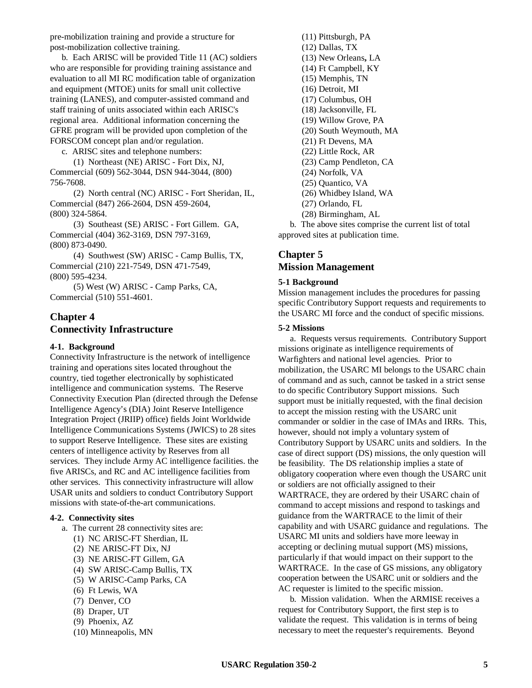pre-mobilization training and provide a structure for post-mobilization collective training.

b. Each ARISC will be provided Title 11 (AC) soldiers who are responsible for providing training assistance and evaluation to all MI RC modification table of organization and equipment (MTOE) units for small unit collective training (LANES), and computer-assisted command and staff training of units associated within each ARISC's regional area. Additional information concerning the GFRE program will be provided upon completion of the FORSCOM concept plan and/or regulation.

c. ARISC sites and telephone numbers:

(1) Northeast (NE) ARISC - Fort Dix, NJ, Commercial (609) 562-3044, DSN 944-3044, (800) 756-7608.

(2) North central (NC) ARISC - Fort Sheridan, IL, Commercial (847) 266-2604, DSN 459-2604, (800) 324-5864.

(3) Southeast (SE) ARISC - Fort Gillem. GA, Commercial (404) 362-3169, DSN 797-3169, (800) 873-0490.

(4) Southwest (SW) ARISC - Camp Bullis, TX, Commercial (210) 221-7549, DSN 471-7549, (800) 595-4234.

(5) West (W) ARISC - Camp Parks, CA, Commercial (510) 551-4601.

# **Chapter 4 Connectivity Infrastructure**

#### **4-1. Background**

Connectivity Infrastructure is the network of intelligence training and operations sites located throughout the country, tied together electronically by sophisticated intelligence and communication systems. The Reserve Connectivity Execution Plan (directed through the Defense Intelligence Agency's (DIA) Joint Reserve Intelligence Integration Project (JRIIP) office) fields Joint Worldwide Intelligence Communications Systems (JWICS) to 28 sites to support Reserve Intelligence. These sites are existing centers of intelligence activity by Reserves from all services. They include Army AC intelligence facilities. the five ARISCs, and RC and AC intelligence facilities from other services. This connectivity infrastructure will allow USAR units and soldiers to conduct Contributory Support missions with state-of-the-art communications.

#### **4-2. Connectivity sites**

- a. The current 28 connectivity sites are:
	- (1) NC ARISC-FT Sherdian, IL
	- (2) NE ARISC-FT Dix, NJ
	- (3) NE ARISC-FT Gillem, GA
	- (4) SW ARISC-Camp Bullis, TX
	- (5) W ARISC-Camp Parks, CA
	- (6) Ft Lewis, WA
	- (7) Denver, CO
	- (8) Draper, UT
	- (9) Phoenix, AZ
	- (10) Minneapolis, MN

(11) Pittsburgh, PA (12) Dallas, TX (13) New Orleans**,** LA (14) Ft Campbell, KY (15) Memphis, TN (16) Detroit, MI (17) Columbus, OH (18) Jacksonville, FL (19) Willow Grove, PA (20) South Weymouth, MA (21) Ft Devens, MA (22) Little Rock, AR (23) Camp Pendleton, CA (24) Norfolk, VA (25) Quantico, VA (26) Whidbey Island, WA (27) Orlando, FL (28) Birmingham, AL

b. The above sites comprise the current list of total approved sites at publication time.

## **Chapter 5 Mission Management**

### **5-1 Background**

Mission management includes the procedures for passing specific Contributory Support requests and requirements to the USARC MI force and the conduct of specific missions.

#### **5-2 Missions**

a. Requests versus requirements. Contributory Support missions originate as intelligence requirements of Warfighters and national level agencies. Prior to mobilization, the USARC MI belongs to the USARC chain of command and as such, cannot be tasked in a strict sense to do specific Contributory Support missions. Such support must be initially requested, with the final decision to accept the mission resting with the USARC unit commander or soldier in the case of IMAs and IRRs. This, however, should not imply a voluntary system of Contributory Support by USARC units and soldiers. In the case of direct support (DS) missions, the only question will be feasibility. The DS relationship implies a state of obligatory cooperation where even though the USARC unit or soldiers are not officially assigned to their WARTRACE, they are ordered by their USARC chain of command to accept missions and respond to taskings and guidance from the WARTRACE to the limit of their capability and with USARC guidance and regulations. The USARC MI units and soldiers have more leeway in accepting or declining mutual support (MS) missions, particularly if that would impact on their support to the WARTRACE. In the case of GS missions, any obligatory cooperation between the USARC unit or soldiers and the AC requester is limited to the specific mission.

b. Mission validation. When the ARMISE receives a request for Contributory Support, the first step is to validate the request. This validation is in terms of being necessary to meet the requester's requirements. Beyond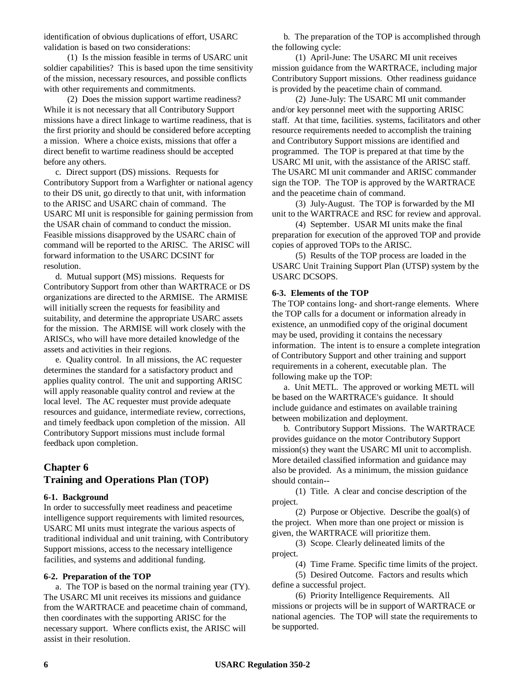identification of obvious duplications of effort, USARC validation is based on two considerations:

(1) Is the mission feasible in terms of USARC unit soldier capabilities? This is based upon the time sensitivity of the mission, necessary resources, and possible conflicts with other requirements and commitments.

(2) Does the mission support wartime readiness? While it is not necessary that all Contributory Support missions have a direct linkage to wartime readiness, that is the first priority and should be considered before accepting a mission. Where a choice exists, missions that offer a direct benefit to wartime readiness should be accepted before any others.

c. Direct support (DS) missions. Requests for Contributory Support from a Warfighter or national agency to their DS unit, go directly to that unit, with information to the ARISC and USARC chain of command. The USARC MI unit is responsible for gaining permission from the USAR chain of command to conduct the mission. Feasible missions disapproved by the USARC chain of command will be reported to the ARISC. The ARISC will forward information to the USARC DCSINT for resolution.

d. Mutual support (MS) missions. Requests for Contributory Support from other than WARTRACE or DS organizations are directed to the ARMISE. The ARMISE will initially screen the requests for feasibility and suitability, and determine the appropriate USARC assets for the mission. The ARMISE will work closely with the ARISCs, who will have more detailed knowledge of the assets and activities in their regions.

e. Quality control. In all missions, the AC requester determines the standard for a satisfactory product and applies quality control. The unit and supporting ARISC will apply reasonable quality control and review at the local level. The AC requester must provide adequate resources and guidance, intermediate review, corrections, and timely feedback upon completion of the mission. All Contributory Support missions must include formal feedback upon completion.

# **Chapter 6 Training and Operations Plan (TOP)**

#### **6-1. Background**

In order to successfully meet readiness and peacetime intelligence support requirements with limited resources, USARC MI units must integrate the various aspects of traditional individual and unit training, with Contributory Support missions, access to the necessary intelligence facilities, and systems and additional funding.

#### **6-2. Preparation of the TOP**

a. The TOP is based on the normal training year (TY). The USARC MI unit receives its missions and guidance from the WARTRACE and peacetime chain of command, then coordinates with the supporting ARISC for the necessary support. Where conflicts exist, the ARISC will assist in their resolution.

b. The preparation of the TOP is accomplished through the following cycle:

(1) April-June: The USARC MI unit receives mission guidance from the WARTRACE, including major Contributory Support missions. Other readiness guidance is provided by the peacetime chain of command.

(2) June-July: The USARC MI unit commander and/or key personnel meet with the supporting ARISC staff. At that time, facilities. systems, facilitators and other resource requirements needed to accomplish the training and Contributory Support missions are identified and programmed. The TOP is prepared at that time by the USARC MI unit, with the assistance of the ARISC staff. The USARC MI unit commander and ARISC commander sign the TOP. The TOP is approved by the WARTRACE and the peacetime chain of command.

(3) July-August. The TOP is forwarded by the MI unit to the WARTRACE and RSC for review and approval.

(4) September. USAR MI units make the final preparation for execution of the approved TOP and provide copies of approved TOPs to the ARISC.

(5) Results of the TOP process are loaded in the USARC Unit Training Support Plan (UTSP) system by the USARC DCSOPS.

#### **6-3. Elements of the TOP**

The TOP contains long- and short-range elements. Where the TOP calls for a document or information already in existence, an unmodified copy of the original document may be used, providing it contains the necessary information. The intent is to ensure a complete integration of Contributory Support and other training and support requirements in a coherent, executable plan. The following make up the TOP:

a. Unit METL. The approved or working METL will be based on the WARTRACE's guidance. It should include guidance and estimates on available training between mobilization and deployment.

b. Contributory Support Missions. The WARTRACE provides guidance on the motor Contributory Support mission(s) they want the USARC MI unit to accomplish. More detailed classified information and guidance may also be provided. As a minimum, the mission guidance should contain--

(1) Title. A clear and concise description of the project.

(2) Purpose or Objective. Describe the goal(s) of the project. When more than one project or mission is given, the WARTRACE will prioritize them.

(3) Scope. Clearly delineated limits of the project.

(4) Time Frame. Specific time limits of the project.

(5) Desired Outcome. Factors and results which define a successful project.

(6) Priority Intelligence Requirements. All missions or projects will be in support of WARTRACE or national agencies. The TOP will state the requirements to be supported.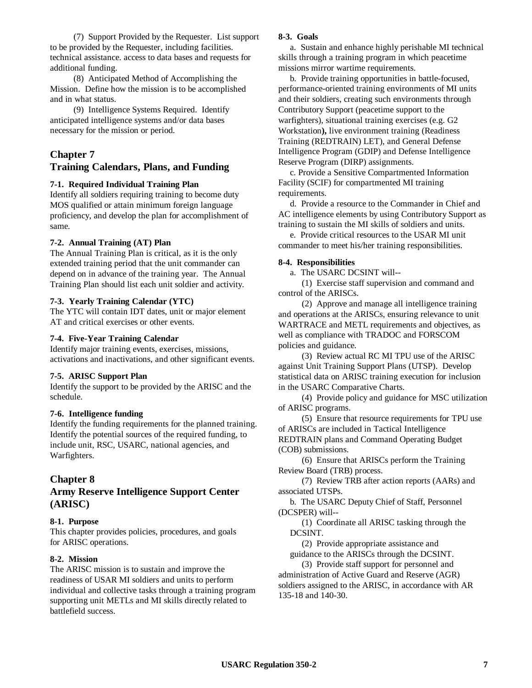(7) Support Provided by the Requester. List support to be provided by the Requester, including facilities. technical assistance. access to data bases and requests for additional funding.

(8) Anticipated Method of Accomplishing the Mission. Define how the mission is to be accomplished and in what status.

(9) Intelligence Systems Required. Identify anticipated intelligence systems and/or data bases necessary for the mission or period.

## **Chapter 7 Training Calendars, Plans, and Funding**

### **7-1. Required Individual Training Plan**

Identify all soldiers requiring training to become duty MOS qualified or attain minimum foreign language proficiency, and develop the plan for accomplishment of same.

### **7-2. Annual Training (AT) Plan**

The Annual Training Plan is critical, as it is the only extended training period that the unit commander can depend on in advance of the training year. The Annual Training Plan should list each unit soldier and activity.

### **7-3. Yearly Training Calendar (YTC)**

The YTC will contain IDT dates, unit or major element AT and critical exercises or other events.

### **7-4. Five-Year Training Calendar**

Identify major training events, exercises, missions, activations and inactivations, and other significant events.

### **7-5. ARISC Support Plan**

Identify the support to be provided by the ARISC and the schedule.

## **7-6. Intelligence funding**

Identify the funding requirements for the planned training. Identify the potential sources of the required funding, to include unit, RSC, USARC, national agencies, and Warfighters.

# **Chapter 8**

# **Army Reserve Intelligence Support Center (ARISC)**

## **8-1. Purpose**

This chapter provides policies, procedures, and goals for ARISC operations.

## **8-2. Mission**

The ARISC mission is to sustain and improve the readiness of USAR MI soldiers and units to perform individual and collective tasks through a training program supporting unit METLs and MI skills directly related to battlefield success.

### **8-3. Goals**

a. Sustain and enhance highly perishable MI technical skills through a training program in which peacetime missions mirror wartime requirements.

b. Provide training opportunities in battle-focused, performance-oriented training environments of MI units and their soldiers, creating such environments through Contributory Support (peacetime support to the warfighters), situational training exercises (e.g. G2 Workstation**),** live environment training (Readiness Training (REDTRAIN) LET), and General Defense Intelligence Program (GDIP) and Defense Intelligence Reserve Program (DIRP) assignments.

c. Provide a Sensitive Compartmented Information Facility (SCIF) for compartmented MI training requirements.

d. Provide a resource to the Commander in Chief and AC intelligence elements by using Contributory Support as training to sustain the MI skills of soldiers and units.

e. Provide critical resources to the USAR MI unit commander to meet his/her training responsibilities.

### **8-4. Responsibilities**

a. The USARC DCSINT will--

(1) Exercise staff supervision and command and control of the ARISCs.

(2) Approve and manage all intelligence training and operations at the ARISCs, ensuring relevance to unit WARTRACE and METL requirements and objectives, as well as compliance with TRADOC and FORSCOM policies and guidance.

(3) Review actual RC MI TPU use of the ARISC against Unit Training Support Plans (UTSP). Develop statistical data on ARISC training execution for inclusion in the USARC Comparative Charts.

(4) Provide policy and guidance for MSC utilization of ARISC programs.

(5) Ensure that resource requirements for TPU use of ARISCs are included in Tactical Intelligence REDTRAIN plans and Command Operating Budget (COB) submissions.

(6) Ensure that ARISCs perform the Training Review Board (TRB) process.

(7) Review TRB after action reports (AARs) and associated UTSPs.

b. The USARC Deputy Chief of Staff, Personnel (DCSPER) will--

(1) Coordinate all ARISC tasking through the DCSINT.

(2) Provide appropriate assistance and guidance to the ARISCs through the DCSINT.

(3) Provide staff support for personnel and administration of Active Guard and Reserve (AGR) soldiers assigned to the ARISC, in accordance with AR 135-18 and 140-30.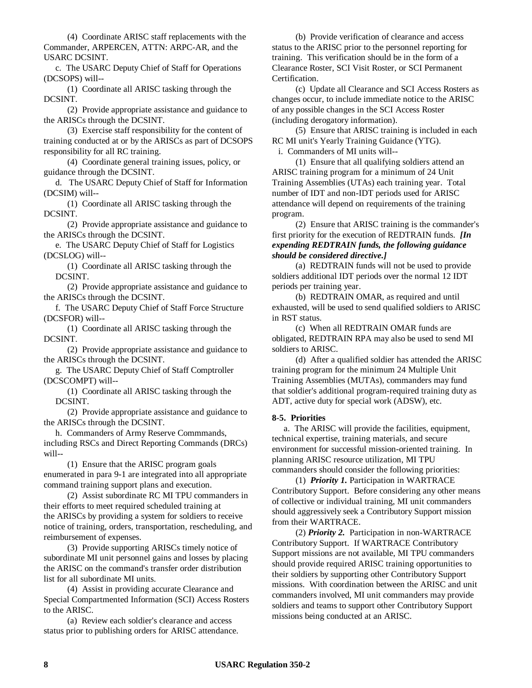(4) Coordinate ARISC staff replacements with the Commander, ARPERCEN, ATTN: ARPC-AR, and the USARC DCSINT.

c. The USARC Deputy Chief of Staff for Operations (DCSOPS) will--

(1) Coordinate all ARISC tasking through the DCSINT.

(2) Provide appropriate assistance and guidance to the ARISCs through the DCSINT.

(3) Exercise staff responsibility for the content of training conducted at or by the ARISCs as part of DCSOPS responsibility for all RC training.

(4) Coordinate general training issues, policy, or guidance through the DCSINT.

d. The USARC Deputy Chief of Staff for Information (DCSIM) will--

(1) Coordinate all ARISC tasking through the DCSINT.

(2) Provide appropriate assistance and guidance to the ARISCs through the DCSINT.

e. The USARC Deputy Chief of Staff for Logistics (DCSLOG) will--

(1) Coordinate all ARISC tasking through the DCSINT.

(2) Provide appropriate assistance and guidance to the ARISCs through the DCSINT.

f. The USARC Deputy Chief of Staff Force Structure (DCSFOR) will--

(1) Coordinate all ARISC tasking through the DCSINT.

(2) Provide appropriate assistance and guidance to the ARISCs through the DCSINT.

g. The USARC Deputy Chief of Staff Comptroller (DCSCOMPT) will--

(1) Coordinate all ARISC tasking through the DCSINT.

(2) Provide appropriate assistance and guidance to the ARISCs through the DCSINT.

h. Commanders of Army Reserve Commmands, including RSCs and Direct Reporting Commands (DRCs) will--

(1) Ensure that the ARISC program goals enumerated in para 9-1 are integrated into all appropriate command training support plans and execution.

(2) Assist subordinate RC MI TPU commanders in their efforts to meet required scheduled training at the ARISCs by providing a system for soldiers to receive notice of training, orders, transportation, rescheduling, and reimbursement of expenses.

(3) Provide supporting ARISCs timely notice of subordinate MI unit personnel gains and losses by placing the ARISC on the command's transfer order distribution list for all subordinate MI units.

(4) Assist in providing accurate Clearance and Special Compartmented Information (SCI) Access Rosters to the ARISC.

(a) Review each soldier's clearance and access status prior to publishing orders for ARISC attendance.

(b) Provide verification of clearance and access status to the ARISC prior to the personnel reporting for training. This verification should be in the form of a Clearance Roster, SCI Visit Roster, or SCI Permanent Certification.

(c) Update all Clearance and SCI Access Rosters as changes occur, to include immediate notice to the ARISC of any possible changes in the SCI Access Roster (including derogatory information).

(5) Ensure that ARISC training is included in each RC MI unit's Yearly Training Guidance (YTG).

i. Commanders of MI units will--

(1) Ensure that all qualifying soldiers attend an ARISC training program for a minimum of 24 Unit Training Assemblies (UTAs) each training year. Total number of IDT and non-IDT periods used for ARISC attendance will depend on requirements of the training program.

(2) Ensure that ARISC training is the commander's first priority for the execution of REDTRAIN funds. *[In expending REDTRAIN funds, the following guidance should be considered directive.]*

(a) REDTRAIN funds will not be used to provide soldiers additional IDT periods over the normal 12 IDT periods per training year.

(b) REDTRAIN OMAR, as required and until exhausted, will be used to send qualified soldiers to ARISC in RST status.

(c) When all REDTRAIN OMAR funds are obligated, REDTRAIN RPA may also be used to send MI soldiers to ARISC.

(d) After a qualified soldier has attended the ARISC training program for the minimum 24 Multiple Unit Training Assemblies (MUTAs), commanders may fund that soldier's additional program-required training duty as ADT, active duty for special work (ADSW), etc.

### **8-5. Priorities**

a. The ARISC will provide the facilities, equipment, technical expertise, training materials, and secure environment for successful mission-oriented training. In planning ARISC resource utilization, MI TPU commanders should consider the following priorities:

(1) *Priority 1.* Participation in WARTRACE Contributory Support. Before considering any other means of collective or individual training, MI unit commanders should aggressively seek a Contributory Support mission from their WARTRACE.

(2) *Priority 2.* Participation in non-WARTRACE Contributory Support. If WARTRACE Contributory Support missions are not available, MI TPU commanders should provide required ARISC training opportunities to their soldiers by supporting other Contributory Support missions. With coordination between the ARISC and unit commanders involved, MI unit commanders may provide soldiers and teams to support other Contributory Support missions being conducted at an ARISC.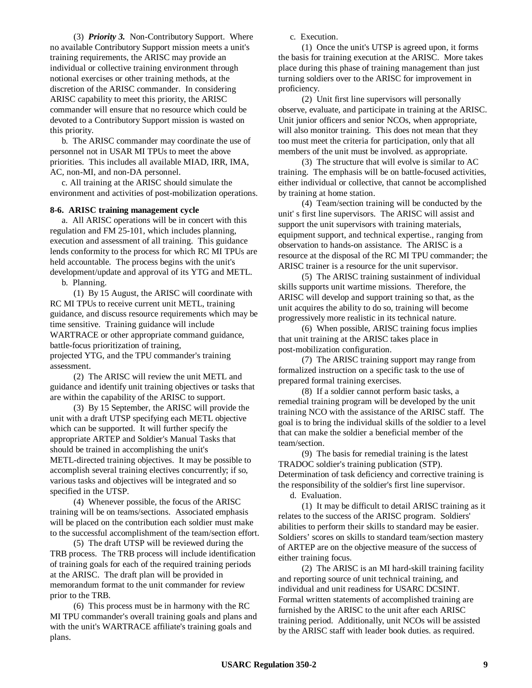(3) *Priority 3.* Non-Contributory Support. Where no available Contributory Support mission meets a unit's training requirements, the ARISC may provide an individual or collective training environment through notional exercises or other training methods, at the discretion of the ARISC commander. In considering ARISC capability to meet this priority, the ARISC commander will ensure that no resource which could be devoted to a Contributory Support mission is wasted on this priority.

b. The ARISC commander may coordinate the use of personnel not in USAR MI TPUs to meet the above priorities. This includes all available MIAD, IRR, IMA, AC, non-MI, and non-DA personnel.

c. All training at the ARISC should simulate the environment and activities of post-mobilization operations.

#### **8-6. ARISC training management cycle**

a. All ARISC operations will be in concert with this regulation and FM 25-101, which includes planning, execution and assessment of all training. This guidance lends conformity to the process for which RC MI TPUs are held accountable. The process begins with the unit's development/update and approval of its YTG and METL.

b. Planning.

(1) By 15 August, the ARISC will coordinate with RC MI TPUs to receive current unit METL, training guidance, and discuss resource requirements which may be time sensitive. Training guidance will include WARTRACE or other appropriate command guidance, battle-focus prioritization of training, projected YTG, and the TPU commander's training assessment.

(2) The ARISC will review the unit METL and guidance and identify unit training objectives or tasks that are within the capability of the ARISC to support.

(3) By 15 September, the ARISC will provide the unit with a draft UTSP specifying each METL objective which can be supported. It will further specify the appropriate ARTEP and Soldier's Manual Tasks that should be trained in accomplishing the unit's METL-directed training objectives. It may be possible to accomplish several training electives concurrently; if so, various tasks and objectives will be integrated and so specified in the UTSP.

(4) Whenever possible, the focus of the ARISC training will be on teams/sections. Associated emphasis will be placed on the contribution each soldier must make to the successful accomplishment of the team/section effort.

(5) The draft UTSP will be reviewed during the TRB process. The TRB process will include identification of training goals for each of the required training periods at the ARISC. The draft plan will be provided in memorandum format to the unit commander for review prior to the TRB.

(6) This process must be in harmony with the RC MI TPU commander's overall training goals and plans and with the unit's WARTRACE affiliate's training goals and plans.

c. Execution.

(1) Once the unit's UTSP is agreed upon, it forms the basis for training execution at the ARISC. More takes place during this phase of training management than just turning soldiers over to the ARISC for improvement in proficiency.

(2) Unit first line supervisors will personally observe, evaluate, and participate in training at the ARISC. Unit junior officers and senior NCOs, when appropriate, will also monitor training. This does not mean that they too must meet the criteria for participation, only that all members of the unit must be involved. as appropriate.

(3) The structure that will evolve is similar to AC training. The emphasis will be on battle-focused activities, either individual or collective, that cannot be accomplished by training at home station.

(4) Team/section training will be conducted by the unit' s first line supervisors. The ARISC will assist and support the unit supervisors with training materials, equipment support, and technical expertise., ranging from observation to hands-on assistance. The ARISC is a resource at the disposal of the RC MI TPU commander; the ARISC trainer is a resource for the unit supervisor.

(5) The ARISC training sustainment of individual skills supports unit wartime missions. Therefore, the ARISC will develop and support training so that, as the unit acquires the ability to do so, training will become progressively more realistic in its technical nature.

(6) When possible, ARISC training focus implies that unit training at the ARISC takes place in post-mobilization configuration.

(7) The ARISC training support may range from formalized instruction on a specific task to the use of prepared formal training exercises.

(8) If a soldier cannot perform basic tasks, a remedial training program will be developed by the unit training NCO with the assistance of the ARISC staff. The goal is to bring the individual skills of the soldier to a level that can make the soldier a beneficial member of the team/section.

(9) The basis for remedial training is the latest TRADOC soldier's training publication (STP). Determination of task deficiency and corrective training is the responsibility of the soldier's first line supervisor.

d. Evaluation.

(1) It may be difficult to detail ARISC training as it relates to the success of the ARISC program. Soldiers' abilities to perform their skills to standard may be easier. Soldiers' scores on skills to standard team/section mastery of ARTEP are on the objective measure of the success of either training focus.

(2) The ARISC is an MI hard-skill training facility and reporting source of unit technical training, and individual and unit readiness for USARC DCSINT. Formal written statements of accomplished training are furnished by the ARISC to the unit after each ARISC training period. Additionally, unit NCOs will be assisted by the ARISC staff with leader book duties. as required.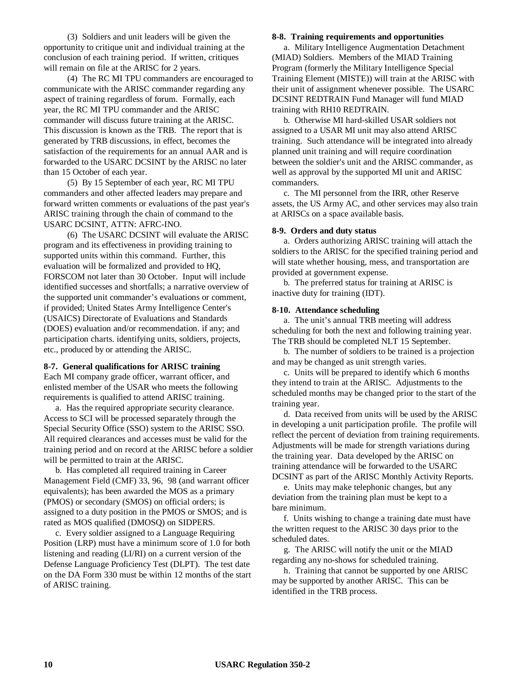(3) Soldiers and unit leaders will be given the opportunity to critique unit and individual training at the conclusion of each training period. If written, critiques will remain on file at the ARISC for 2 years.

(4) The RC MI TPU commanders are encouraged to communicate with the ARISC commander regarding any aspect of training regardless of forum. Formally, each year, the RC MI TPU commander and the ARISC commander will discuss future training at the ARISC. This discussion is known as the TRB. The report that is generated by TRB discussions, in effect, becomes the satisfaction of the requirements for an annual AAR and is forwarded to the USARC DCSINT by the ARISC no later than 15 October of each year.

(5) By 15 September of each year, RC MI TPU commanders and other affected leaders may prepare and forward written comments or evaluations of the past year's ARISC training through the chain of command to the USARC DCSINT, ATTN: AFRC-INO.

(6) The USARC DCSINT will evaluate the ARISC program and its effectiveness in providing training to supported units within this command. Further, this evaluation will be formalized and provided to HQ, FORSCOM not later than 30 October. Input will include identified successes and shortfalls; a narrative overview of the supported unit commander's evaluations or comment, if provided; United States Army Intelligence Center's (USAICS) Directorate of Evaluations and Standards (DOES) evaluation and/or recommendation. if any; and participation charts. identifying units, soldiers, projects, etc., produced by or attending the ARISC.

#### **8-7. General qualifications for ARISC training**

Each MI company grade officer, warrant officer, and enlisted member of the USAR who meets the following requirements is qualified to attend ARISC training.

a. Has the required appropriate security clearance. Access to SCI will be processed separately through the Special Security Office (SSO) system to the ARISC SSO. All required clearances and accesses must be valid for the training period and on record at the ARISC before a soldier will be permitted to train at the ARISC.

b. Has completed all required training in Career Management Field (CMF) 33, 96, 98 (and warrant officer equivalents); has been awarded the MOS as a primary (PMOS) or secondary (SMOS) on official orders; is assigned to a duty position in the PMOS or SMOS; and is rated as MOS qualified (DMOSQ) on SIDPERS.

c. Every soldier assigned to a Language Requiring Position (LRP) must have a minimum score of 1.0 for both listening and reading (LI/RI) on a current version of the Defense Language Proficiency Test (DLPT). The test date on the DA Form 330 must be within 12 months of the start of ARISC training.

#### **8-8. Training requirements and opportunities**

a. Military Intelligence Augmentation Detachment (MIAD) Soldiers. Members of the MIAD Training Program (formerly the Military Intelligence Special Training Element (MISTE)) will train at the ARISC with their unit of assignment whenever possible. The USARC DCSINT REDTRAIN Fund Manager will fund MIAD training with RH10 REDTRAIN.

b. Otherwise MI hard-skilled USAR soldiers not assigned to a USAR MI unit may also attend ARISC training. Such attendance will be integrated into already planned unit training and will require coordination between the soldier's unit and the ARISC commander, as well as approval by the supported MI unit and ARISC commanders.

c. The MI personnel from the IRR, other Reserve assets, the US Army AC, and other services may also train at ARISCs on a space available basis.

#### **8-9. Orders and duty status**

a. Orders authorizing ARISC training will attach the soldiers to the ARISC for the specified training period and will state whether housing, mess, and transportation are provided at government expense.

b. The preferred status for training at ARISC is inactive duty for training (IDT).

#### **8-10. Attendance scheduling**

a. The unit's annual TRB meeting will address scheduling for both the next and following training year. The TRB should be completed NLT 15 September.

b. The number of soldiers to be trained is a projection and may be changed as unit strength varies.

c. Units will be prepared to identify which 6 months they intend to train at the ARISC. Adjustments to the scheduled months may be changed prior to the start of the training year.

d. Data received from units will be used by the ARISC in developing a unit participation profile. The profile will reflect the percent of deviation from training requirements. Adjustments will be made for strength variations during the training year. Data developed by the ARISC on training attendance will be forwarded to the USARC DCSINT as part of the ARISC Monthly Activity Reports.

e. Units may make telephonic changes, but any deviation from the training plan must be kept to a bare minimum.

f. Units wishing to change a training date must have the written request to the ARISC 30 days prior to the scheduled dates.

g. The ARISC will notify the unit or the MIAD regarding any no-shows for scheduled training.

h. Training that cannot be supported by one ARISC may be supported by another ARISC. This can be identified in the TRB process.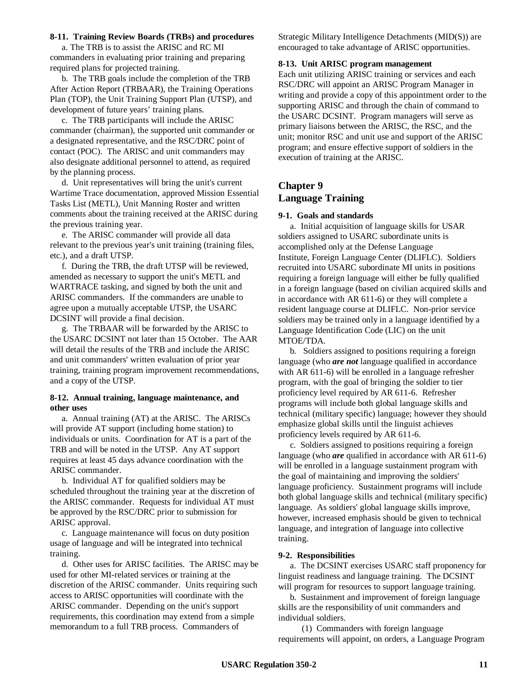#### **8-11. Training Review Boards (TRBs) and procedures**

a. The TRB is to assist the ARISC and RC MI commanders in evaluating prior training and preparing required plans for projected training.

b. The TRB goals include the completion of the TRB After Action Report (TRBAAR), the Training Operations Plan (TOP), the Unit Training Support Plan (UTSP), and development of future years' training plans.

c. The TRB participants will include the ARISC commander (chairman), the supported unit commander or a designated representative, and the RSC/DRC point of contact (POC). The ARISC and unit commanders may also designate additional personnel to attend, as required by the planning process.

d. Unit representatives will bring the unit's current Wartime Trace documentation, approved Mission Essential Tasks List (METL), Unit Manning Roster and written comments about the training received at the ARISC during the previous training year.

e. The ARISC commander will provide all data relevant to the previous year's unit training (training files, etc.), and a draft UTSP.

f. During the TRB, the draft UTSP will be reviewed, amended as necessary to support the unit's METL and WARTRACE tasking, and signed by both the unit and ARISC commanders. If the commanders are unable to agree upon a mutually acceptable UTSP, the USARC DCSINT will provide a final decision.

g. The TRBAAR will be forwarded by the ARISC to the USARC DCSINT not later than 15 October. The AAR will detail the results of the TRB and include the ARISC and unit commanders' written evaluation of prior year training, training program improvement recommendations, and a copy of the UTSP.

### **8-12. Annual training, language maintenance, and other uses**

a. Annual training (AT) at the ARISC. The ARISCs will provide AT support (including home station) to individuals or units. Coordination for AT is a part of the TRB and will be noted in the UTSP. Any AT support requires at least 45 days advance coordination with the ARISC commander.

b. Individual AT for qualified soldiers may be scheduled throughout the training year at the discretion of the ARISC commander. Requests for individual AT must be approved by the RSC/DRC prior to submission for ARISC approval.

c. Language maintenance will focus on duty position usage of language and will be integrated into technical training.

d. Other uses for ARISC facilities. The ARISC may be used for other MI-related services or training at the discretion of the ARISC commander. Units requiring such access to ARISC opportunities will coordinate with the ARISC commander. Depending on the unit's support requirements, this coordination may extend from a simple memorandum to a full TRB process. Commanders of

Strategic Military Intelligence Detachments (MID(S)) are encouraged to take advantage of ARISC opportunities.

### **8-13. Unit ARISC program management**

Each unit utilizing ARISC training or services and each RSC/DRC will appoint an ARISC Program Manager in writing and provide a copy of this appointment order to the supporting ARISC and through the chain of command to the USARC DCSINT. Program managers will serve as primary liaisons between the ARISC, the RSC, and the unit; monitor RSC and unit use and support of the ARISC program; and ensure effective support of soldiers in the execution of training at the ARISC.

# **Chapter 9 Language Training**

### **9-1. Goals and standards**

a. Initial acquisition of language skills for USAR soldiers assigned to USARC subordinate units is accomplished only at the Defense Language Institute, Foreign Language Center (DLIFLC). Soldiers recruited into USARC subordinate MI units in positions requiring a foreign language will either be fully qualified in a foreign language (based on civilian acquired skills and in accordance with AR 611-6) or they will complete a resident language course at DLIFLC. Non-prior service soldiers may be trained only in a language identified by a Language Identification Code (LIC) on the unit MTOE/TDA.

b. Soldiers assigned to positions requiring a foreign language (who *are not* language qualified in accordance with AR 611-6) will be enrolled in a language refresher program, with the goal of bringing the soldier to tier proficiency level required by AR 611-6. Refresher programs will include both global language skills and technical (military specific) language; however they should emphasize global skills until the linguist achieves proficiency levels required by AR 611-6.

c. Soldiers assigned to positions requiring a foreign language (who *are* qualified in accordance with AR 611-6) will be enrolled in a language sustainment program with the goal of maintaining and improving the soldiers' language proficiency. Sustainment programs will include both global language skills and technical (military specific) language. As soldiers' global language skills improve, however, increased emphasis should be given to technical language, and integration of language into collective training.

### **9-2. Responsibilities**

a. The DCSINT exercises USARC staff proponency for linguist readiness and language training. The DCSINT will program for resources to support language training.

b. Sustainment and improvement of foreign language skills are the responsibility of unit commanders and individual soldiers.

(1) Commanders with foreign language requirements will appoint, on orders, a Language Program